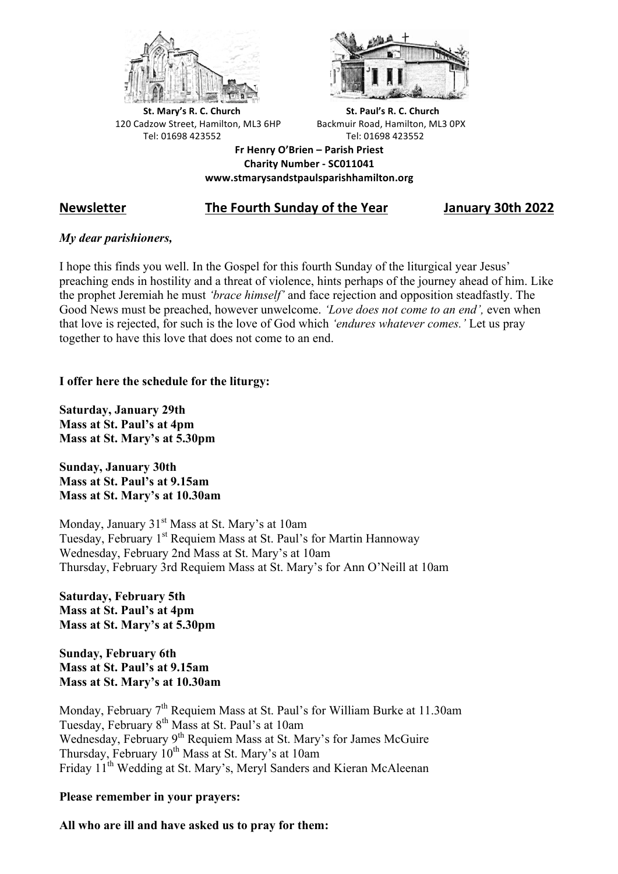



**St.** Mary's R. C. Church St. Paul's R. C. Church 120 Cadzow Street, Hamilton, ML3 6HP Backmuir Road, Hamilton, ML3 0PX Tel: 01698 423552 Tel: 01698 423552

**Fr Henry O'Brien – Parish Priest Charity Number - SC011041 www.stmarysandstpaulsparishhamilton.org**

# **Newsletter The Fourth Sunday of the Year January 30th 2022**

## *My dear parishioners,*

I hope this finds you well. In the Gospel for this fourth Sunday of the liturgical year Jesus' preaching ends in hostility and a threat of violence, hints perhaps of the journey ahead of him. Like the prophet Jeremiah he must *'brace himself'* and face rejection and opposition steadfastly. The Good News must be preached, however unwelcome. *'Love does not come to an end',* even when that love is rejected, for such is the love of God which *'endures whatever comes.'* Let us pray together to have this love that does not come to an end.

## **I offer here the schedule for the liturgy:**

**Saturday, January 29th Mass at St. Paul's at 4pm Mass at St. Mary's at 5.30pm**

**Sunday, January 30th Mass at St. Paul's at 9.15am Mass at St. Mary's at 10.30am**

Monday, January 31<sup>st</sup> Mass at St. Mary's at 10am Tuesday, February 1<sup>st</sup> Requiem Mass at St. Paul's for Martin Hannoway Wednesday, February 2nd Mass at St. Mary's at 10am Thursday, February 3rd Requiem Mass at St. Mary's for Ann O'Neill at 10am

**Saturday, February 5th Mass at St. Paul's at 4pm Mass at St. Mary's at 5.30pm**

**Sunday, February 6th Mass at St. Paul's at 9.15am Mass at St. Mary's at 10.30am**

Monday, February  $7<sup>th</sup>$  Requiem Mass at St. Paul's for William Burke at 11.30am Tuesday, February 8th Mass at St. Paul's at 10am Wednesday, February 9<sup>th</sup> Requiem Mass at St. Mary's for James McGuire Thursday, February  $10^{th}$  Mass at St. Mary's at 10am Friday 11<sup>th</sup> Wedding at St. Mary's, Meryl Sanders and Kieran McAleenan

## **Please remember in your prayers:**

**All who are ill and have asked us to pray for them:**